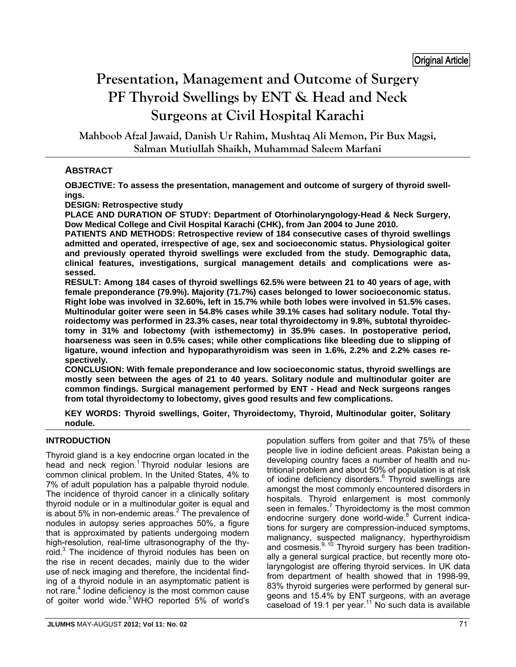# **Presentation, Management and Outcome of Surgery PF Thyroid Swellings by ENT & Head and Neck Surgeons at Civil Hospital Karachi**

**Mahboob Afzal Jawaid, Danish Ur Rahim, Mushtaq Ali Memon, Pir Bux Magsi, Salman Mutiullah Shaikh, Muhammad Saleem Marfani**

# **ABSTRACT**

**OBJECTIVE: To assess the presentation, management and outcome of surgery of thyroid swellings.** 

**DESIGN: Retrospective study** 

**PLACE AND DURATION OF STUDY: Department of Otorhinolaryngology-Head & Neck Surgery, Dow Medical College and Civil Hospital Karachi (CHK), from Jan 2004 to June 2010.** 

**PATIENTS AND METHODS: Retrospective review of 184 consecutive cases of thyroid swellings admitted and operated, irrespective of age, sex and socioeconomic status. Physiological goiter and previously operated thyroid swellings were excluded from the study. Demographic data, clinical features, investigations, surgical management details and complications were assessed.** 

**RESULT: Among 184 cases of thyroid swellings 62.5% were between 21 to 40 years of age, with female preponderance (79.9%). Majority (71.7%) cases belonged to lower socioeconomic status. Right lobe was involved in 32.60%, left in 15.7% while both lobes were involved in 51.5% cases. Multinodular goiter were seen in 54.8% cases while 39.1% cases had solitary nodule. Total thyroidectomy was performed in 23.3% cases, near total thyroidectomy in 9.8%, subtotal thyroidectomy in 31% and lobectomy (with isthemectomy) in 35.9% cases. In postoperative period, hoarseness was seen in 0.5% cases; while other complications like bleeding due to slipping of ligature, wound infection and hypoparathyroidism was seen in 1.6%, 2.2% and 2.2% cases respectively.** 

**CONCLUSION: With female preponderance and low socioeconomic status, thyroid swellings are mostly seen between the ages of 21 to 40 years. Solitary nodule and multinodular goiter are common findings. Surgical management performed by ENT - Head and Neck surgeons ranges from total thyroidectomy to lobectomy, gives good results and few complications.** 

**KEY WORDS: Thyroid swellings, Goiter, Thyroidectomy, Thyroid, Multinodular goiter, Solitary nodule.**

# **INTRODUCTION**

Thyroid gland is a key endocrine organ located in the head and neck region.<sup>1</sup> Thyroid nodular lesions are common clinical problem. In the United States, 4% to 7% of adult population has a palpable thyroid nodule. The incidence of thyroid cancer in a clinically solitary thyroid nodule or in a multinodular goiter is equal and is about 5% in non-endemic areas.<sup>2</sup> The prevalence of nodules in autopsy series approaches 50%, a figure that is approximated by patients undergoing modern high-resolution, real-time ultrasonography of the thyroid.<sup>3</sup> The incidence of thyroid nodules has been on the rise in recent decades, mainly due to the wider use of neck imaging and therefore, the incidental finding of a thyroid nodule in an asymptomatic patient is not rare.<sup>4</sup> Iodine deficiency is the most common cause of goiter world wide.<sup>5</sup> WHO reported 5% of world's

people live in iodine deficient areas. Pakistan being a developing country faces a number of health and nutritional problem and about 50% of population is at risk of iodine deficiency disorders.<sup>6</sup> Thyroid swellings are amongst the most commonly encountered disorders in hospitals. Thyroid enlargement is most commonly seen in females.<sup>7</sup> Thyroidectomy is the most common endocrine surgery done world-wide.<sup>8</sup> Current indications for surgery are compression-induced symptoms, malignancy, suspected malignancy, hyperthyroidism and cosmesis.<sup>9, 10</sup> Thyroid surgery has been traditionally a general surgical practice, but recently more otolaryngologist are offering thyroid services. In UK data from department of health showed that in 1998-99, 83% thyroid surgeries were performed by general surgeons and 15.4% by ENT surgeons, with an average caseload of 19.1 per year.11 No such data is available

population suffers from goiter and that 75% of these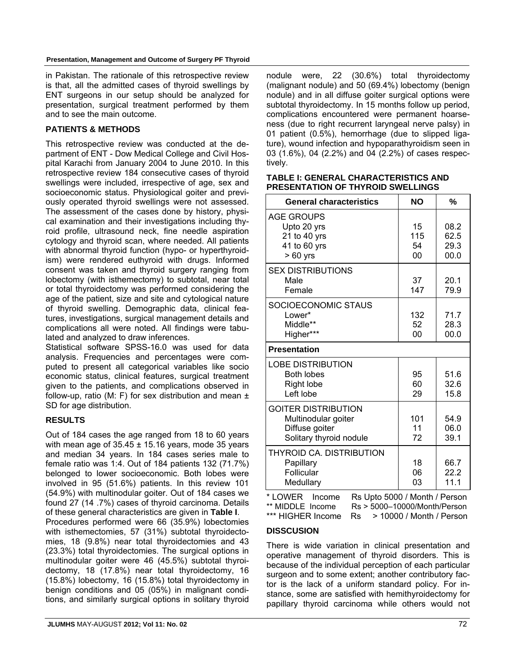in Pakistan. The rationale of this retrospective review is that, all the admitted cases of thyroid swellings by ENT surgeons in our setup should be analyzed for presentation, surgical treatment performed by them and to see the main outcome.

## **PATIENTS & METHODS**

This retrospective review was conducted at the department of ENT - Dow Medical College and Civil Hospital Karachi from January 2004 to June 2010. In this retrospective review 184 consecutive cases of thyroid swellings were included, irrespective of age, sex and socioeconomic status. Physiological goiter and previously operated thyroid swellings were not assessed. The assessment of the cases done by history, physical examination and their investigations including thyroid profile, ultrasound neck, fine needle aspiration cytology and thyroid scan, where needed. All patients with abnormal thyroid function (hypo- or hyperthyroidism) were rendered euthyroid with drugs. Informed consent was taken and thyroid surgery ranging from lobectomy (with isthemectomy) to subtotal, near total or total thyroidectomy was performed considering the age of the patient, size and site and cytological nature of thyroid swelling. Demographic data, clinical features, investigations, surgical management details and complications all were noted. All findings were tabulated and analyzed to draw inferences.

Statistical software SPSS-16.0 was used for data analysis. Frequencies and percentages were computed to present all categorical variables like socio economic status, clinical features, surgical treatment given to the patients, and complications observed in follow-up, ratio (M: F) for sex distribution and mean  $\pm$ SD for age distribution.

# **RESULTS**

Out of 184 cases the age ranged from 18 to 60 years with mean age of  $35.45 \pm 15.16$  years, mode 35 years and median 34 years. In 184 cases series male to female ratio was 1:4. Out of 184 patients 132 (71.7%) belonged to lower socioeconomic. Both lobes were involved in 95 (51.6%) patients. In this review 101 (54.9%) with multinodular goiter. Out of 184 cases we found 27 (14 .7%) cases of thyroid carcinoma. Details of these general characteristics are given in **Table I**. Procedures performed were 66 (35.9%) lobectomies with isthemectomies, 57 (31%) subtotal thyroidectomies, 18 (9.8%) near total thyroidectomies and 43 (23.3%) total thyroidectomies. The surgical options in multinodular goiter were 46 (45.5%) subtotal thyroidectomy, 18 (17.8%) near total thyroidectomy, 16 (15.8%) lobectomy, 16 (15.8%) total thyroidectomy in benign conditions and 05 (05%) in malignant conditions, and similarly surgical options in solitary thyroid nodule were, 22 (30.6%) total thyroidectomy (malignant nodule) and 50 (69.4%) lobectomy (benign nodule) and in all diffuse goiter surgical options were subtotal thyroidectomy. In 15 months follow up period, complications encountered were permanent hoarseness (due to right recurrent laryngeal nerve palsy) in 01 patient (0.5%), hemorrhage (due to slipped ligature), wound infection and hypoparathyroidism seen in 03 (1.6%), 04 (2.2%) and 04 (2.2%) of cases respectively.

#### **TABLE I: GENERAL CHARACTERISTICS AND PRESENTATION OF THYROID SWELLINGS**

| <b>General characteristics</b>                                                                 | <b>NO</b>             | %                            |
|------------------------------------------------------------------------------------------------|-----------------------|------------------------------|
| <b>AGE GROUPS</b><br>Upto 20 yrs<br>21 to 40 yrs<br>41 to 60 yrs<br>$>60$ yrs                  | 15<br>115<br>54<br>00 | 08.2<br>62.5<br>29.3<br>00.0 |
| <b>SEX DISTRIBUTIONS</b><br>Male<br>Female                                                     | 37<br>147             | 20.1<br>79.9                 |
| SOCIOECONOMIC STAUS<br>Lower*<br>Middle**<br>Higher***                                         | 132<br>52<br>00       | 71.7<br>28.3<br>00.0         |
| <b>Presentation</b>                                                                            |                       |                              |
| <b>LOBE DISTRIBUTION</b><br><b>Both lobes</b><br>Right lobe<br>Left lobe                       | 95<br>60<br>29        | 51.6<br>32.6<br>15.8         |
| <b>GOITER DISTRIBUTION</b><br>Multinodular goiter<br>Diffuse goiter<br>Solitary thyroid nodule | 101<br>11<br>72       | 54.9<br>06.0<br>39.1         |
| THYROID CA. DISTRIBUTION<br>Papillary<br>Follicular<br>Medullary                               | 18<br>06<br>03        | 66.7<br>22.2<br>11.1         |

\* LOWER Income Rs Upto 5000 / Month / Person \*\* MIDDLE Income Rs > 5000–10000/Month/Person \*\*\* HIGHER Income Rs > 10000 / Month / Person

### **DISSCUSION**

There is wide variation in clinical presentation and operative management of thyroid disorders. This is because of the individual perception of each particular surgeon and to some extent; another contributory factor is the lack of a uniform standard policy. For instance, some are satisfied with hemithyroidectomy for papillary thyroid carcinoma while others would not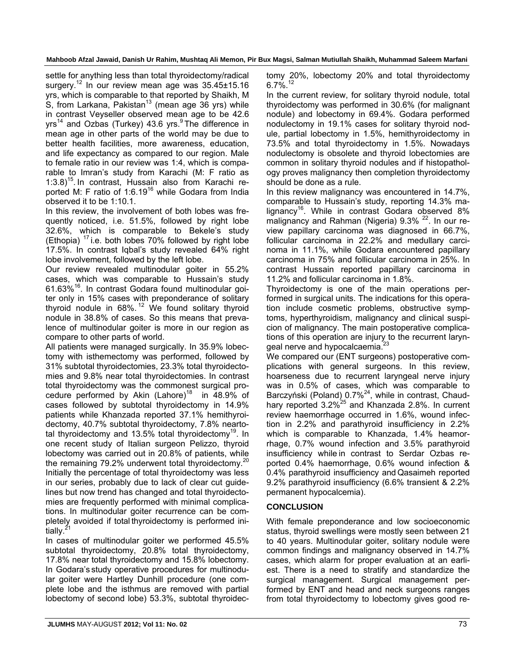**Mahboob Afzal Jawaid, Danish Ur Rahim, Mushtaq Ali Memon, Pir Bux Magsi, Salman Mutiullah Shaikh, Muhammad Saleem Marfani** 

settle for anything less than total thyroidectomy/radical surgery.<sup>12</sup> In our review mean age was  $35.45\pm15.16$ yrs, which is comparable to that reported by Shaikh, M S, from Larkana, Pakistan<sup>13</sup> (mean age 36 yrs) while in contrast Veyseller observed mean age to be 42.6  $yrs^{14}$  and Ozbas (Turkey) 43.6 yrs. <sup>9</sup> The difference in mean age in other parts of the world may be due to better health facilities, more awareness, education, and life expectancy as compared to our region. Male to female ratio in our review was 1:4, which is comparable to Imran's study from Karachi (M: F ratio as  $1:3.8$ <sup>15</sup>. In contrast, Hussain also from Karachi reported M: F ratio of 1:6.19<sup>16</sup> while Godara from India observed it to be 1:10.1.

In this review, the involvement of both lobes was frequently noticed, i.e. 51.5%, followed by right lobe 32.6%, which is comparable to Bekele's study (Ethopia)  $17$  i.e. both lobes 70% followed by right lobe 17.5%. In contrast Iqbal's study revealed 64% right lobe involvement, followed by the left lobe.

Our review revealed multinodular goiter in 55.2% cases, which was comparable to Hussain's study 61.63%16. In contrast Godara found multinodular goiter only in 15% cases with preponderance of solitary thyroid nodule in  $68\%$ .<sup>12</sup> We found solitary thyroid nodule in 38.8% of cases. So this means that prevalence of multinodular goiter is more in our region as compare to other parts of world.

All patients were managed surgically. In 35.9% lobectomy with isthemectomy was performed, followed by 31% subtotal thyroidectomies, 23.3% total thyroidectomies and 9.8% near total thyroidectomies. In contrast total thyroidectomy was the commonest surgical procedure performed by Akin (Lahore)<sup>18</sup> in  $48.9\%$  of cases followed by subtotal thyroidectomy in 14.9% patients while Khanzada reported 37.1% hemithyroidectomy, 40.7% subtotal thyroidectomy, 7.8% neartotal thyroidectomy and  $13.5\%$  total thyroidectomy<sup>19</sup>. In one recent study of Italian surgeon Pelizzo, thyroid lobectomy was carried out in 20.8% of patients, while the remaining  $79.2\%$  underwent total thyroidectomy.<sup>20</sup> Initially the percentage of total thyroidectomy was less in our series, probably due to lack of clear cut guidelines but now trend has changed and total thyroidectomies are frequently performed with minimal complications. In multinodular goiter recurrence can be completely avoided if total thyroidectomy is performed initially.<sup>2</sup>

In cases of multinodular goiter we performed 45.5% subtotal thyroidectomy, 20.8% total thyroidectomy, 17.8% near total thyroidectomy and 15.8% lobectomy. In Godara's study operative procedures for multinodular goiter were Hartley Dunhill procedure (one complete lobe and the isthmus are removed with partial lobectomy of second lobe) 53.3%, subtotal thyroidectomy 20%, lobectomy 20% and total thyroidectomy  $6.7\%$ <sup>12</sup>

In the current review, for solitary thyroid nodule, total thyroidectomy was performed in 30.6% (for malignant nodule) and lobectomy in 69.4%. Godara performed nodulectomy in 19.1% cases for solitary thyroid nodule, partial lobectomy in 1.5%, hemithyroidectomy in 73.5% and total thyroidectomy in 1.5%. Nowadays nodulectomy is obsolete and thyroid lobectomies are common in solitary thyroid nodules and if histopathology proves malignancy then completion thyroidectomy should be done as a rule.

In this review malignancy was encountered in 14.7%, comparable to Hussain's study, reporting 14.3% malignancy<sup>16</sup>. While in contrast Godara observed 8% malignancy and Rahman (Nigeria)  $9.3\%$   $^{22}$ . In our review papillary carcinoma was diagnosed in 66.7%, follicular carcinoma in 22.2% and medullary carcinoma in 11.1%, while Godara encountered papillary carcinoma in 75% and follicular carcinoma in 25%. In contrast Hussain reported papillary carcinoma in 11.2% and follicular carcinoma in 1.8%.

Thyroidectomy is one of the main operations performed in surgical units. The indications for this operation include cosmetic problems, obstructive symptoms, hyperthyroidism, malignancy and clinical suspicion of malignancy. The main postoperative complications of this operation are injury to the recurrent laryngeal nerve and hypocalcaemia.<sup>23</sup>

We compared our (ENT surgeons) postoperative complications with general surgeons. In this review, hoarseness due to recurrent laryngeal nerve injury was in 0.5% of cases, which was comparable to Barczyński (Poland) 0.7%<sup>24</sup>, while in contrast, Chaudhary reported 3.2%<sup>25</sup> and Khanzada 2.8%. In current review haemorrhage occurred in 1.6%, wound infection in 2.2% and parathyroid insufficiency in 2.2% which is comparable to Khanzada, 1.4% heamorrhage, 0.7% wound infection and 3.5% parathyroid insufficiency while in contrast to Serdar Ozbas reported 0.4% haemorrhage, 0.6% wound infection & 0.4% parathyroid insufficiency and Qasaimeh reported 9.2% parathyroid insufficiency (6.6% transient & 2.2% permanent hypocalcemia).

# **CONCLUSION**

With female preponderance and low socioeconomic status, thyroid swellings were mostly seen between 21 to 40 years. Multinodular goiter, solitary nodule were common findings and malignancy observed in 14.7% cases, which alarm for proper evaluation at an earliest. There is a need to stratify and standardize the surgical management. Surgical management performed by ENT and head and neck surgeons ranges from total thyroidectomy to lobectomy gives good re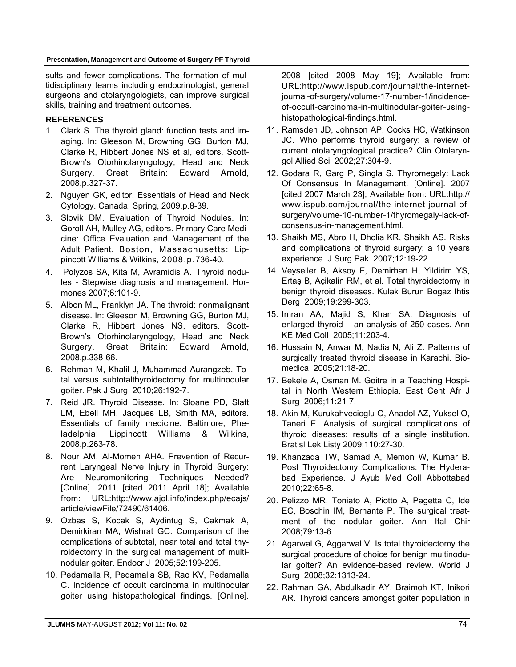sults and fewer complications. The formation of multidisciplinary teams including endocrinologist, general surgeons and otolaryngologists, can improve surgical skills, training and treatment outcomes.

## **REFERENCES**

- 1. Clark S. The thyroid gland: function tests and imaging. In: Gleeson M, Browning GG, Burton MJ, Clarke R, Hibbert Jones NS et al, editors. Scott-Brown's Otorhinolaryngology, Head and Neck Surgery. Great Britain: Edward Arnold, 2008.p.327-37.
- 2. Nguyen GK, editor. Essentials of Head and Neck Cytology. Canada: Spring, 2009.p.8-39.
- 3. Slovik DM. Evaluation of Thyroid Nodules. In: Goroll AH, Mulley AG, editors. Primary Care Medicine: Office Evaluation and Management of the Adult Patient. Boston, Massachusetts: Lippincott Williams & Wilkins, 2008.p.736-40.
- 4. Polyzos SA, Kita M, Avramidis A. Thyroid nodules - Stepwise diagnosis and management. Hormones 2007;6:101-9.
- 5. Albon ML, Franklyn JA. The thyroid: nonmalignant disease. In: Gleeson M, Browning GG, Burton MJ, Clarke R, Hibbert Jones NS, editors. Scott-Brown's Otorhinolaryngology, Head and Neck Surgery. Great Britain: Edward Arnold, 2008.p.338-66.
- 6. Rehman M, Khalil J, Muhammad Aurangzeb. Total versus subtotalthyroidectomy for multinodular goiter. Pak J Surg 2010;26:192-7.
- 7. Reid JR. Thyroid Disease. In: Sloane PD, Slatt LM, Ebell MH, Jacques LB, Smith MA, editors. Essentials of family medicine. Baltimore, Pheladelphia: Lippincott Williams & Wilkins, 2008.p.263-78.
- 8. Nour AM, Al-Momen AHA. Prevention of Recurrent Laryngeal Nerve Injury in Thyroid Surgery: Are Neuromonitoring Techniques Needed? [Online]. 2011 [cited 2011 April 18]; Available from: URL:http://www.ajol.info/index.php/ecajs/ article/viewFile/72490/61406.
- 9. Ozbas S, Kocak S, Aydintug S, Cakmak A, Demirkiran MA, Wishrat GC. Comparison of the complications of subtotal, near total and total thyroidectomy in the surgical management of multinodular goiter. Endocr J 2005;52:199-205.
- 10. Pedamalla R, Pedamalla SB, Rao KV, Pedamalla C. Incidence of occult carcinoma in multinodular goiter using histopathological findings. [Online].

2008 [cited 2008 May 19]; Available from: URL:http://www.ispub.com/journal/the-internetjournal-of-surgery/volume-17-number-1/incidenceof-occult-carcinoma-in-multinodular-goiter-usinghistopathological-findings.html.

- 11. Ramsden JD, Johnson AP, Cocks HC, Watkinson JC. Who performs thyroid surgery: a review of current otolaryngological practice? Clin Otolaryngol Allied Sci 2002;27:304-9.
- 12. Godara R, Garg P, Singla S. Thyromegaly: Lack Of Consensus In Management. [Online]. 2007 [cited 2007 March 23]; Available from: URL:http:// www.ispub.com/journal/the-internet-journal-ofsurgery/volume-10-number-1/thyromegaly-lack-ofconsensus-in-management.html.
- 13. Shaikh MS, Abro H, Dholia KR, Shaikh AS. Risks and complications of thyroid surgery: a 10 years experience. J Surg Pak 2007;12:19-22.
- 14. Veyseller B, Aksoy F, Demirhan H, Yildirim YS, Ertaş B, Açikalin RM, et al. Total thyroidectomy in benign thyroid diseases. Kulak Burun Bogaz Ihtis Derg 2009;19:299-303.
- 15. Imran AA, Majid S, Khan SA. Diagnosis of enlarged thyroid – an analysis of 250 cases. Ann KE Med Coll 2005;11:203-4.
- 16. Hussain N, Anwar M, Nadia N, Ali Z. Patterns of surgically treated thyroid disease in Karachi. Biomedica 2005;21:18-20.
- 17. Bekele A, Osman M. Goitre in a Teaching Hospital in North Western Ethiopia. East Cent Afr J Surg 2006;11:21-7.
- 18. Akin M, Kurukahvecioglu O, Anadol AZ, Yuksel O, Taneri F. Analysis of surgical complications of thyroid diseases: results of a single institution. Bratisl Lek Listy 2009;110:27-30.
- 19. Khanzada TW, Samad A, Memon W, Kumar B. Post Thyroidectomy Complications: The Hyderabad Experience. J Ayub Med Coll Abbottabad 2010;22:65-8.
- 20. Pelizzo MR, Toniato A, Piotto A, Pagetta C, Ide EC, Boschin IM, Bernante P. The surgical treatment of the nodular goiter. Ann Ital Chir 2008;79:13-6.
- 21. Agarwal G, Aggarwal V. Is total thyroidectomy the surgical procedure of choice for benign multinodular goiter? An evidence-based review. World J Surg 2008;32:1313-24.
- 22. Rahman GA, Abdulkadir AY, Braimoh KT, Inikori AR. Thyroid cancers amongst goiter population in